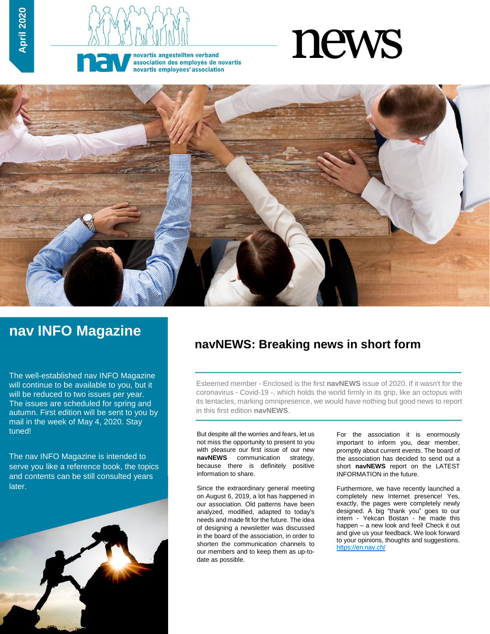

# news



# **nav INFO Magazine**

The well-established nav INFO Magazine will continue to be available to you, but it will be reduced to two issues per year. The issues are scheduled for spring and autumn. First edition will be sent to you by mail in the week of May 4, 2020. Stay tuned!

The nav INFO Magazine is intended to serve you like a reference book, the topics and contents can be still consulted years later.



#### **navNEWS: Breaking news in short form**

Esteemed member - Enclosed is the first **navNEWS** issue of 2020. If it wasn't for the coronavirus - Covid-19 -, which holds the world firmly in its grip, like an octopus with its tentacles, marking omnipresence, we would have nothing but good news to report in this first edition **navNEWS**.

But despite all the worries and fears, let us not miss the opportunity to present to you with pleasure our first issue of our new **navNEWS** communication strategy, because there is definitely positive information to share.

Since the extraordinary general meeting on August 6, 2019, a lot has happened in our association. Old patterns have been analyzed, modified, adapted to today's needs and made fit for the future. The idea of designing a newsletter was discussed in the board of the association, in order to shorten the communication channels to our members and to keep them as up-todate as possible.

For the association it is enormously important to inform you, dear member, promptly about current events. The board of the association has decided to send out a short **navNEWS** report on the LATEST INFORMATION in the future.

Furthermore, we have recently launched a completely new Internet presence! Yes, exactly, the pages were completely newly designed. A big "thank you" goes to our intern - Yekcan Bostan - he made this happen – a new look and feel! Check it out and give us your feedback. We look forward to your opinions, thoughts and suggestions. <https://en.nav.ch/>